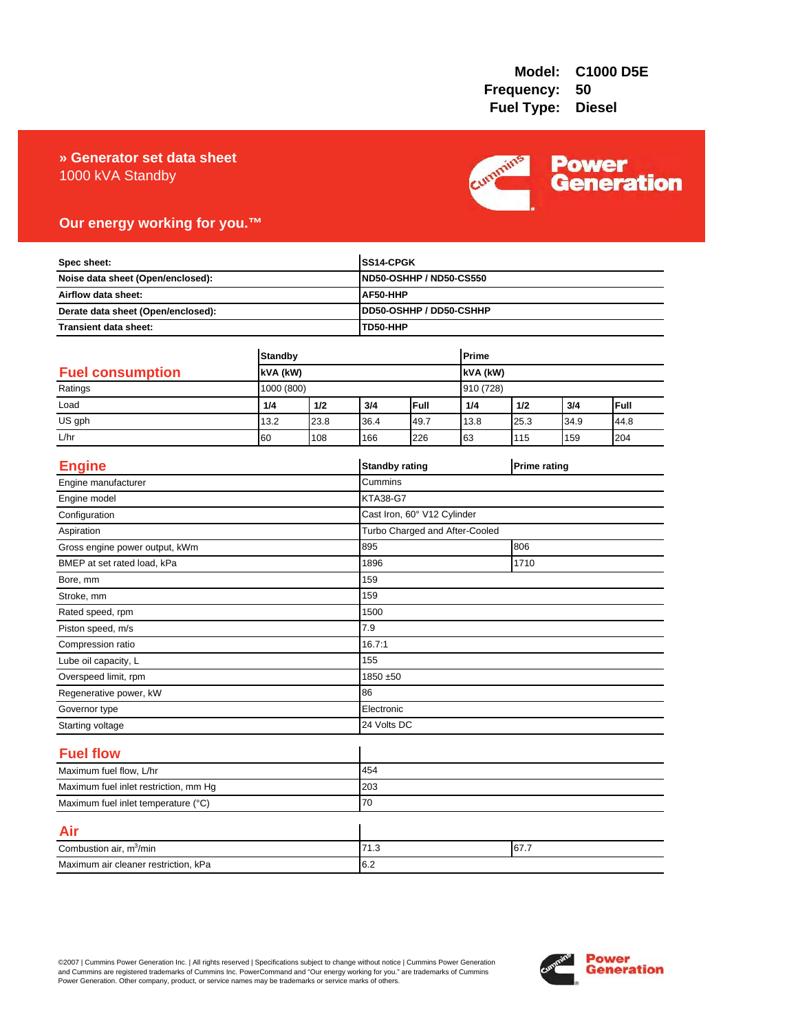# 1000 kVA Standby **» Generator set data sheet**



# **Our energy working for you.™**

| Spec sheet:<br>Noise data sheet (Open/enclosed):<br>Airflow data sheet:<br>Derate data sheet (Open/enclosed): |            |      |                 | SS14-CPGK<br><b>ND50-OSHHP / ND50-CS550</b><br>AF50-HHP<br>DD50-OSHHP / DD50-CSHHP |           |      |                     |      |  |
|---------------------------------------------------------------------------------------------------------------|------------|------|-----------------|------------------------------------------------------------------------------------|-----------|------|---------------------|------|--|
|                                                                                                               |            |      |                 |                                                                                    |           |      |                     |      |  |
|                                                                                                               |            |      |                 |                                                                                    |           |      |                     |      |  |
|                                                                                                               |            |      |                 |                                                                                    |           |      |                     |      |  |
| <b>Transient data sheet:</b>                                                                                  |            |      | TD50-HHP        |                                                                                    |           |      |                     |      |  |
|                                                                                                               |            |      |                 |                                                                                    | Prime     |      |                     |      |  |
| <b>Standby</b><br><b>Fuel consumption</b><br>kVA (kW)                                                         |            |      | kVA (kW)        |                                                                                    |           |      |                     |      |  |
| Ratings                                                                                                       | 1000 (800) |      |                 |                                                                                    | 910 (728) |      |                     |      |  |
| Load                                                                                                          | 1/4        | 1/2  | 3/4             | Full                                                                               | 1/4       | 1/2  | 3/4                 | Full |  |
| US gph                                                                                                        | 13.2       | 23.8 | 36.4            | 49.7                                                                               | 13.8      | 25.3 | 34.9                | 44.8 |  |
| L/hr                                                                                                          | 60         | 108  | 166             | 226                                                                                | 63        | 115  | 159                 | 204  |  |
|                                                                                                               |            |      |                 |                                                                                    |           |      |                     |      |  |
| <b>Engine</b>                                                                                                 |            |      |                 | <b>Standby rating</b>                                                              |           |      | <b>Prime rating</b> |      |  |
| Engine manufacturer                                                                                           |            |      | Cummins         |                                                                                    |           |      |                     |      |  |
| Engine model                                                                                                  |            |      | <b>KTA38-G7</b> |                                                                                    |           |      |                     |      |  |
| Configuration                                                                                                 |            |      |                 | Cast Iron, 60° V12 Cylinder                                                        |           |      |                     |      |  |
| Aspiration                                                                                                    |            |      |                 | Turbo Charged and After-Cooled                                                     |           |      |                     |      |  |
| Gross engine power output, kWm                                                                                |            |      | 895             | 806                                                                                |           |      |                     |      |  |
| BMEP at set rated load, kPa                                                                                   |            |      | 1896            | 1710                                                                               |           |      |                     |      |  |
| Bore, mm                                                                                                      |            |      | 159             |                                                                                    |           |      |                     |      |  |
| Stroke, mm                                                                                                    |            |      | 159             |                                                                                    |           |      |                     |      |  |
| Rated speed, rpm                                                                                              |            |      | 1500            |                                                                                    |           |      |                     |      |  |
| Piston speed, m/s                                                                                             |            |      | 7.9             |                                                                                    |           |      |                     |      |  |
| Compression ratio                                                                                             |            |      | 16.7:1          |                                                                                    |           |      |                     |      |  |
| Lube oil capacity, L                                                                                          |            |      | 155             |                                                                                    |           |      |                     |      |  |
| Overspeed limit, rpm                                                                                          |            |      |                 | 1850 ±50                                                                           |           |      |                     |      |  |
| Regenerative power, kW                                                                                        |            |      | 86              |                                                                                    |           |      |                     |      |  |
| Governor type                                                                                                 |            |      |                 | Electronic                                                                         |           |      |                     |      |  |
| Starting voltage                                                                                              |            |      |                 | 24 Volts DC                                                                        |           |      |                     |      |  |
| <b>Fuel flow</b>                                                                                              |            |      |                 |                                                                                    |           |      |                     |      |  |
| Maximum fuel flow, L/hr                                                                                       |            |      | 454             |                                                                                    |           |      |                     |      |  |
| Maximum fuel inlet restriction, mm Hg                                                                         |            |      | 203             |                                                                                    |           |      |                     |      |  |
| Maximum fuel inlet temperature (°C)                                                                           |            |      | 70              |                                                                                    |           |      |                     |      |  |
| Air                                                                                                           |            |      |                 |                                                                                    |           |      |                     |      |  |
| Combustion air, m <sup>3</sup> /min                                                                           |            |      | 71.3<br>67.7    |                                                                                    |           |      |                     |      |  |
| Maximum air cleaner restriction, kPa                                                                          |            |      | 6.2             |                                                                                    |           |      |                     |      |  |

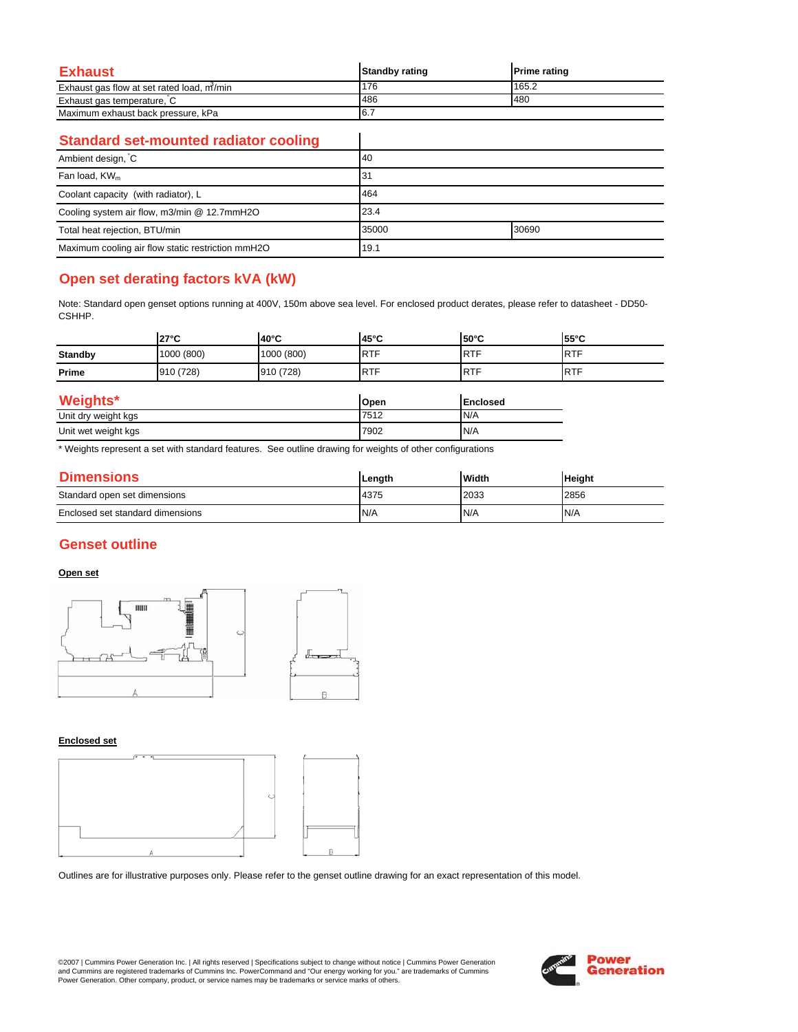| Exhaust                                   | <b>Standby rating</b> | <b>Prime rating</b> |
|-------------------------------------------|-----------------------|---------------------|
| Exhaust gas flow at set rated load, m/min | 176                   | 165.2               |
| Exhaust gas temperature, C                | 486                   | 480                 |
| Maximum exhaust back pressure, kPa        | 16.7                  |                     |

 $\overline{\phantom{a}}$ 

### **Standard set-mounted radiator cooling**

| Ambient design, C                                 | 40             |  |
|---------------------------------------------------|----------------|--|
| Fan load, $KW_m$                                  | 31             |  |
| Coolant capacity (with radiator), L               | 464            |  |
| Cooling system air flow, m3/min @ 12.7mmH2O       | 23.4           |  |
| Total heat rejection, BTU/min                     | 30690<br>35000 |  |
| Maximum cooling air flow static restriction mmH2O | 19.1           |  |

# **Open set derating factors kVA (kW)**

Note: Standard open genset options running at 400V, 150m above sea level. For enclosed product derates, please refer to datasheet - DD50- CSHHP.

|                     | $27^{\circ}$ C | 40°C       | $45^{\circ}$ C | $50^{\circ}$ C  | 55°C       |
|---------------------|----------------|------------|----------------|-----------------|------------|
| <b>Standby</b>      | 1000 (800)     | 1000 (800) | <b>RTF</b>     | <b>RTF</b>      | <b>RTF</b> |
| Prime               | 910 (728)      | 910 (728)  | <b>RTF</b>     | <b>RTF</b>      | <b>RTF</b> |
| <b>Weights*</b>     |                |            | Open           | <b>Enclosed</b> |            |
| Unit dry weight kgs |                | 7512       | N/A            |                 |            |
| Unit wet weight kgs |                |            | 7902           | N/A             |            |

\* Weights represent a set with standard features. See outline drawing for weights of other configurations

| <b>Dimensions</b>                | Length | Width | <b>Height</b> |
|----------------------------------|--------|-------|---------------|
| Standard open set dimensions     | 4375   | 2033  | 2856          |
| Enclosed set standard dimensions | N/A    | N/A   | N/A           |

## **Genset outline**

### **Open set**



#### **Enclosed set**



Outlines are for illustrative purposes only. Please refer to the genset outline drawing for an exact representation of this model.

©2007 | Cummins Power Generation Inc. | All rights reserved | Specifications subject to change without notice | Cummins Power Generation and Cummins are registered trademarks of Cummins Inc. PowerCommand and "Our energy working for you." are trademarks of Cummins<br>Power Generation. Other company, product, or service names may be trademarks or service marks o